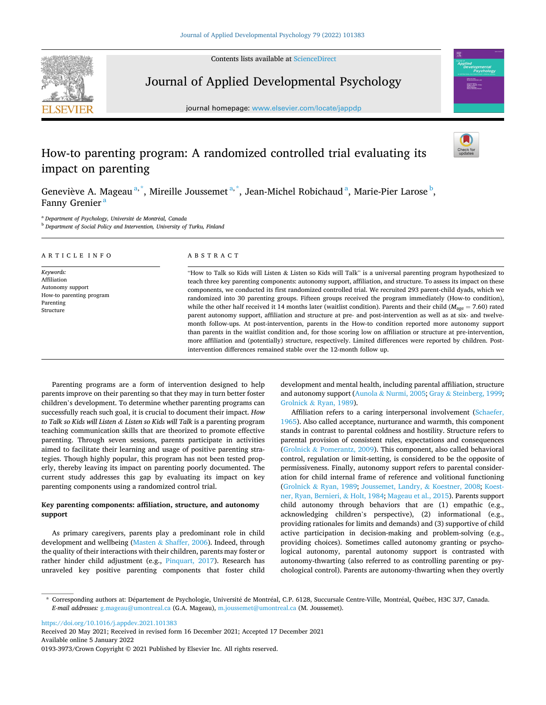Contents lists available at ScienceDirect



# Journal of Applied Developmental Psychology

journal homepage: www.elsevier.com/locate/jappdp



# How-to parenting program: A randomized controlled trial evaluating its impact on parenting

Geneviève A. Mageau<sup>a,\*</sup>, Mireille Joussemet<sup>a,\*</sup>, Jean-Michel Robichaud<sup>a</sup>, Marie-Pier Larose <sup>b</sup>, Fanny Grenier<sup>a</sup>

<sup>a</sup> Department of Psychology, Université de Montréal, Canada

**b** Department of Social Policy and Intervention, University of Turku, Finland

| ARTICLE INFO                                                                                       | ABSTRACT                                                                                                                                                                                                                                                                                                                                                                                                                                                                                                                                                                                                                                                                                                                                                                                                                                                                                                                                                                                                                                                                   |
|----------------------------------------------------------------------------------------------------|----------------------------------------------------------------------------------------------------------------------------------------------------------------------------------------------------------------------------------------------------------------------------------------------------------------------------------------------------------------------------------------------------------------------------------------------------------------------------------------------------------------------------------------------------------------------------------------------------------------------------------------------------------------------------------------------------------------------------------------------------------------------------------------------------------------------------------------------------------------------------------------------------------------------------------------------------------------------------------------------------------------------------------------------------------------------------|
| Keywords:<br>Affiliation<br>Autonomy support<br>How-to parenting program<br>Parenting<br>Structure | "How to Talk so Kids will Listen & Listen so Kids will Talk" is a universal parenting program hypothesized to<br>teach three key parenting components: autonomy support, affiliation, and structure. To assess its impact on these<br>components, we conducted its first randomized controlled trial. We recruited 293 parent-child dyads, which we<br>randomized into 30 parenting groups. Fifteen groups received the program immediately (How-to condition),<br>while the other half received it 14 months later (waitlist condition). Parents and their child ( $M_{\text{age}} = 7.60$ ) rated<br>parent autonomy support, affiliation and structure at pre- and post-intervention as well as at six- and twelve-<br>month follow-ups. At post-intervention, parents in the How-to condition reported more autonomy support<br>than parents in the waitlist condition and, for those scoring low on affiliation or structure at pre-intervention,<br>more affiliation and (potentially) structure, respectively. Limited differences were reported by children. Post- |

intervention differences remained stable over the 12-month follow up.

Parenting programs are a form of intervention designed to help parents improve on their parenting so that they may in turn better foster children's development. To determine whether parenting programs can successfully reach such goal, it is crucial to document their impact. How to Talk so Kids will Listen & Listen so Kids will Talk is a parenting program teaching communication skills that are theorized to promote effective parenting. Through seven sessions, parents participate in activities aimed to facilitate their learning and usage of positive parenting strategies. Though highly popular, this program has not been tested properly, thereby leaving its impact on parenting poorly documented. The current study addresses this gap by evaluating its impact on key parenting components using a randomized control trial.

# Key parenting components: affliation, structure, and autonomy support

As primary caregivers, parents play a predominant role in child development and wellbeing (Masten & Shaffer, 2006). Indeed, through the quality of their interactions with their children, parents may foster or rather hinder child adjustment (e.g., Pinquart, 2017). Research has unraveled key positive parenting components that foster child development and mental health, including parental affliation, structure and autonomy support (Aunola & Nurmi, 2005; Gray & Steinberg, 1999; Grolnick & Ryan, 1989).

Affliation refers to a caring interpersonal involvement (Schaefer, 1965). Also called acceptance, nurturance and warmth, this component stands in contrast to parental coldness and hostility. Structure refers to parental provision of consistent rules, expectations and consequences (Grolnick & Pomerantz, 2009). This component, also called behavioral control, regulation or limit-setting, is considered to be the opposite of permissiveness. Finally, autonomy support refers to parental consideration for child internal frame of reference and volitional functioning (Grolnick & Ryan, 1989; Joussemet, Landry, & Koestner, 2008; Koestner, Ryan, Bernieri, & Holt, 1984; Mageau et al., 2015). Parents support child autonomy through behaviors that are (1) empathic (e.g., acknowledging children's perspective), (2) informational (e.g., providing rationales for limits and demands) and (3) supportive of child active participation in decision-making and problem-solving (e.g., providing choices). Sometimes called autonomy granting or psychological autonomy, parental autonomy support is contrasted with autonomy-thwarting (also referred to as controlling parenting or psychological control). Parents are autonomy-thwarting when they overtly

https://doi.org/10.1016/j.appdev.2021.101383

Available online 5 January 2022 0193-3973/Crown Copyright © 2021 Published by Elsevier Inc. All rights reserved. Received 20 May 2021; Received in revised form 16 December 2021; Accepted 17 December 2021

<sup>\*</sup> Corresponding authors at: Département de Psychologie, Université de Montréal, C.P. 6128, Succursale Centre-Ville, Montréal, Québec, H3C 3J7, Canada. E-mail addresses: g.mageau@umontreal.ca (G.A. Mageau), m.joussemet@umontreal.ca (M. Joussemet).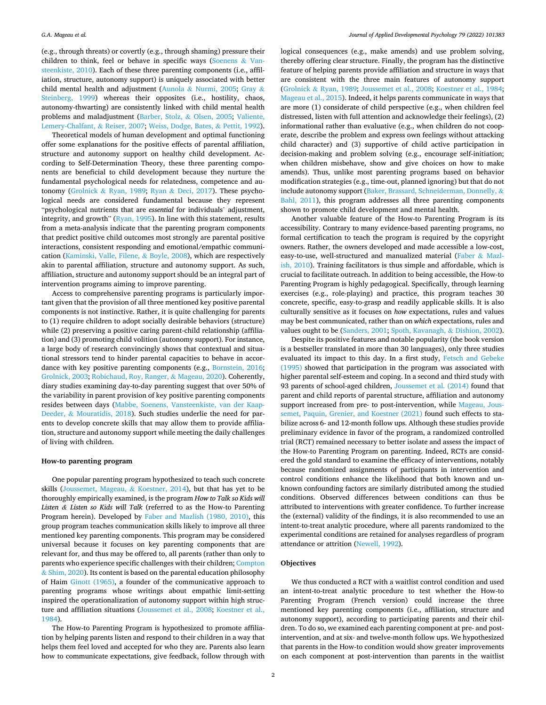(e.g., through threats) or covertly (e.g., through shaming) pressure their children to think, feel or behave in specific ways (Soenens  $&$  Vansteenkiste, 2010). Each of these three parenting components (i.e., affliation, structure, autonomy support) is uniquely associated with better child mental health and adjustment (Aunola & Nurmi, 2005; Gray & Steinberg, 1999) whereas their opposites (i.e., hostility, chaos, autonomy-thwarting) are consistently linked with child mental health problems and maladjustment (Barber, Stolz, & Olsen, 2005; Valiente, Lemery-Chalfant, & Reiser, 2007; Weiss, Dodge, Bates, & Pettit, 1992).

Theoretical models of human development and optimal functioning offer some explanations for the positive effects of parental affliation, structure and autonomy support on healthy child development. According to Self-Determination Theory, these three parenting components are beneficial to child development because they nurture the fundamental psychological needs for relatedness, competence and autonomy (Grolnick & Ryan, 1989; Ryan & Deci, 2017). These psychological needs are considered fundamental because they represent "psychological nutrients that are essential for individuals' adjustment, integrity, and growth" (Ryan, 1995). In line with this statement, results from a meta-analysis indicate that the parenting program components that predict positive child outcomes most strongly are parental positive interactions, consistent responding and emotional/empathic communication (Kaminski, Valle, Filene, & Boyle, 2008), which are respectively akin to parental affliation, structure and autonomy support. As such, affliation, structure and autonomy support should be an integral part of intervention programs aiming to improve parenting.

Access to comprehensive parenting programs is particularly important given that the provision of all three mentioned key positive parental components is not instinctive. Rather, it is quite challenging for parents to (1) require children to adopt socially desirable behaviors (structure) while (2) preserving a positive caring parent-child relationship (affliation) and (3) promoting child volition (autonomy support). For instance, a large body of research convincingly shows that contextual and situational stressors tend to hinder parental capacities to behave in accordance with key positive parenting components (e.g., Bornstein, 2016; Grolnick, 2003; Robichaud, Roy, Ranger, & Mageau, 2020). Coherently, diary studies examining day-to-day parenting suggest that over 50% of the variability in parent provision of key positive parenting components resides between days (Mabbe, Soenens, Vansteenkiste, van der Kaap-Deeder, & Mouratidis, 2018). Such studies underlie the need for parents to develop concrete skills that may allow them to provide affliation, structure and autonomy support while meeting the daily challenges of living with children.

# How-to parenting program

One popular parenting program hypothesized to teach such concrete skills (Joussemet, Mageau, & Koestner, 2014), but that has yet to be thoroughly empirically examined, is the program How to Talk so Kids will Listen & Listen so Kids will Talk (referred to as the How-to Parenting Program herein). Developed by Faber and Mazlish (1980, 2010), this group program teaches communication skills likely to improve all three mentioned key parenting components. This program may be considered universal because it focuses on key parenting components that are relevant for, and thus may be offered to, all parents (rather than only to parents who experience specific challenges with their children; Compton & Shim, 2020). Its content is based on the parental education philosophy of Haim Ginott (1965), a founder of the communicative approach to parenting programs whose writings about empathic limit-setting inspired the operationalization of autonomy support within high structure and affliation situations (Joussemet et al., 2008; Koestner et al., 1984).

The How-to Parenting Program is hypothesized to promote affliation by helping parents listen and respond to their children in a way that helps them feel loved and accepted for who they are. Parents also learn how to communicate expectations, give feedback, follow through with logical consequences (e.g., make amends) and use problem solving, thereby offering clear structure. Finally, the program has the distinctive feature of helping parents provide affliation and structure in ways that are consistent with the three main features of autonomy support (Grolnick & Ryan, 1989; Joussemet et al., 2008; Koestner et al., 1984; Mageau et al., 2015). Indeed, it helps parents communicate in ways that are more (1) considerate of child perspective (e.g., when children feel distressed, listen with full attention and acknowledge their feelings), (2) informational rather than evaluative (e.g., when children do not cooperate, describe the problem and express own feelings without attacking child character) and (3) supportive of child active participation in decision-making and problem solving (e.g., encourage self-initiation; when children misbehave, show and give choices on how to make amends). Thus, unlike most parenting programs based on behavior modifcation strategies (e.g., time-out, planned ignoring) but that do not include autonomy support (Baker, Brassard, Schneiderman, Donnelly, & Bahl, 2011), this program addresses all three parenting components shown to promote child development and mental health.

Another valuable feature of the How-to Parenting Program is its accessibility. Contrary to many evidence-based parenting programs, no formal certifcation to teach the program is required by the copyright owners. Rather, the owners developed and made accessible a low-cost, easy-to-use, well-structured and manualized material (Faber & Mazlish, 2010). Training facilitators is thus simple and affordable, which is crucial to facilitate outreach. In addition to being accessible, the How-to Parenting Program is highly pedagogical. Specifically, through learning exercises (e.g., role-playing) and practice, this program teaches 30 concrete, specifc, easy-to-grasp and readily applicable skills. It is also culturally sensitive as it focuses on how expectations, rules and values may be best communicated, rather than on which expectations, rules and values ought to be (Sanders, 2001; Spoth, Kavanagh, & Dishion, 2002).

Despite its positive features and notable popularity (the book version is a bestseller translated in more than 30 languages), only three studies evaluated its impact to this day. In a frst study, Fetsch and Gebeke (1995) showed that participation in the program was associated with higher parental self-esteem and coping. In a second and third study with 93 parents of school-aged children, Joussemet et al. (2014) found that parent and child reports of parental structure, affliation and autonomy support increased from pre- to post-intervention, while Mageau, Joussemet, Paquin, Grenier, and Koestner (2021) found such effects to stabilize across 6- and 12-month follow ups. Although these studies provide preliminary evidence in favor of the program, a randomized controlled trial (RCT) remained necessary to better isolate and assess the impact of the How-to Parenting Program on parenting. Indeed, RCTs are considered the gold standard to examine the efficacy of interventions, notably because randomized assignments of participants in intervention and control conditions enhance the likelihood that both known and unknown confounding factors are similarly distributed among the studied conditions. Observed differences between conditions can thus be attributed to interventions with greater confdence. To further increase the (external) validity of the fndings, it is also recommended to use an intent-to-treat analytic procedure, where all parents randomized to the experimental conditions are retained for analyses regardless of program attendance or attrition (Newell, 1992).

## **Objectives**

We thus conducted a RCT with a waitlist control condition and used an intent-to-treat analytic procedure to test whether the How-to Parenting Program (French version) could increase the three mentioned key parenting components (i.e., affliation, structure and autonomy support), according to participating parents and their children. To do so, we examined each parenting component at pre- and postintervention, and at six- and twelve-month follow ups. We hypothesized that parents in the How-to condition would show greater improvements on each component at post-intervention than parents in the waitlist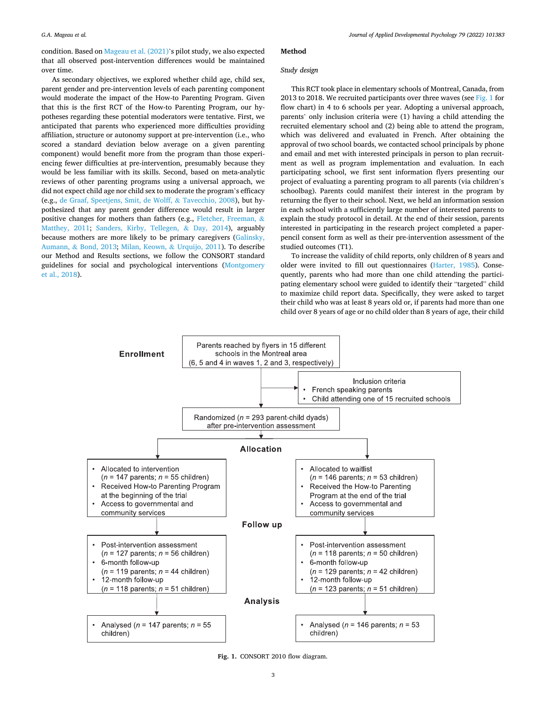condition. Based on Mageau et al. (2021)'s pilot study, we also expected that all observed post-intervention differences would be maintained over time.

As secondary objectives, we explored whether child age, child sex, parent gender and pre-intervention levels of each parenting component would moderate the impact of the How-to Parenting Program. Given that this is the frst RCT of the How-to Parenting Program, our hypotheses regarding these potential moderators were tentative. First, we anticipated that parents who experienced more difficulties providing affliation, structure or autonomy support at pre-intervention (i.e., who scored a standard deviation below average on a given parenting component) would beneft more from the program than those experiencing fewer difficulties at pre-intervention, presumably because they would be less familiar with its skills. Second, based on meta-analytic reviews of other parenting programs using a universal approach, we did not expect child age nor child sex to moderate the program's efficacy (e.g., de Graaf, Speetjens, Smit, de Wolff, & Tavecchio, 2008), but hypothesized that any parent gender difference would result in larger positive changes for mothers than fathers (e.g., Fletcher, Freeman,  $\&$ Matthey, 2011; Sanders, Kirby, Tellegen, & Day, 2014), arguably because mothers are more likely to be primary caregivers (Galinsky, Aumann, & Bond, 2013; Milan, Keown, & Urquijo, 2011). To describe our Method and Results sections, we follow the CONSORT standard guidelines for social and psychological interventions (Montgomery et al., 2018).

## Method

# Study design

This RCT took place in elementary schools of Montreal, Canada, from 2013 to 2018. We recruited participants over three waves (see Fig. 1 for fow chart) in 4 to 6 schools per year. Adopting a universal approach, parents' only inclusion criteria were (1) having a child attending the recruited elementary school and (2) being able to attend the program, which was delivered and evaluated in French. After obtaining the approval of two school boards, we contacted school principals by phone and email and met with interested principals in person to plan recruitment as well as program implementation and evaluation. In each participating school, we frst sent information fyers presenting our project of evaluating a parenting program to all parents (via children's schoolbag). Parents could manifest their interest in the program by returning the fyer to their school. Next, we held an information session in each school with a sufficiently large number of interested parents to explain the study protocol in detail. At the end of their session, parents interested in participating in the research project completed a paperpencil consent form as well as their pre-intervention assessment of the studied outcomes (T1).

To increase the validity of child reports, only children of 8 years and older were invited to fill out questionnaires (Harter, 1985). Consequently, parents who had more than one child attending the participating elementary school were guided to identify their "targeted" child to maximize child report data. Specifcally, they were asked to target their child who was at least 8 years old or, if parents had more than one child over 8 years of age or no child older than 8 years of age, their child



Fig. 1. CONSORT 2010 flow diagram.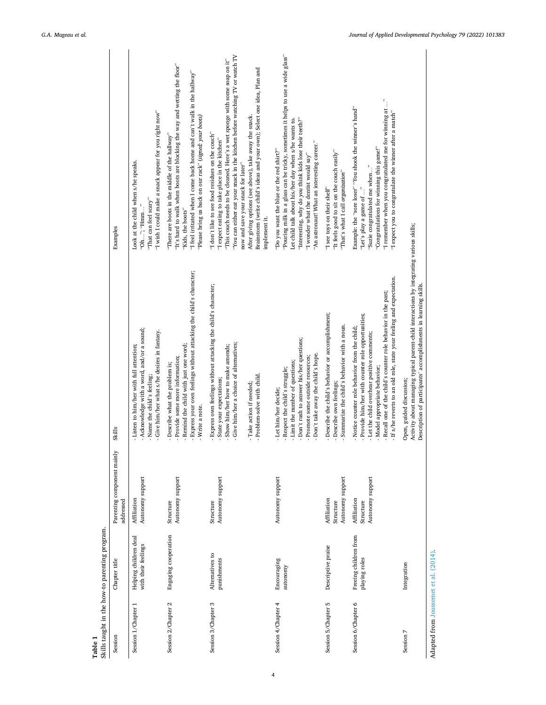| Table 1                               | Skills taught in the how-to parenting program. |                                              |                                                                                                                                                                                                                                                                                                                     |                                                                                                                                                                                                                                                                                                                                                                                                                                                               |
|---------------------------------------|------------------------------------------------|----------------------------------------------|---------------------------------------------------------------------------------------------------------------------------------------------------------------------------------------------------------------------------------------------------------------------------------------------------------------------|---------------------------------------------------------------------------------------------------------------------------------------------------------------------------------------------------------------------------------------------------------------------------------------------------------------------------------------------------------------------------------------------------------------------------------------------------------------|
| Session                               | Chapter title                                  | Parenting component mainly<br>addressed      | Skills                                                                                                                                                                                                                                                                                                              | Examples                                                                                                                                                                                                                                                                                                                                                                                                                                                      |
| Session 1/Chapter 1                   | Helping children deal<br>with their feelings   | Autonomy support<br>Affiliation              | Acknowledge with a word, and/or a sound;<br>- Give him/her what s/he desires in fantasy.<br>Listen to him/her with full attention;<br>Name the child's feeling;                                                                                                                                                     | "I wish I could make a snack appear for you right now"<br>Look at the child when s/he speaks.<br>"That can feel scary"<br>"Oh"; "Hmm"                                                                                                                                                                                                                                                                                                                         |
| Session 2/Chapter 2                   | Engaging cooperation                           | Autonomy support<br>Structure                | Express your own feelings without attacking the child's character;<br>Remind the child with just one word;<br>Provide some more information;<br>Describe what the problem is;<br>Write a note.                                                                                                                      | "It's hard to walk when boots are blocking the way and wetting the floor"<br>"I feel irritated when I come back home and can't walk in the hallway"<br>"Please bring us back on our rack" (signed: your boots)<br>"There are boots in the middle of the hallway"<br>"Kids, the boots"                                                                                                                                                                         |
| Session 3/Chapter 3                   | Alternatives to<br>punishments                 | Autonomy support<br>Structure                | Express own feelings without attacking the child's character;<br>Give him/her a choice of alternatives;<br>Show him/her how to make amends;<br>- Problem-solve with child.<br>State your expectations;<br>- Take action if needed;                                                                                  | "You can either eat your snack in the kitchen before watching TV or watch TV<br>"This couch needs to be cleaned. Here's a wet sponge with some soap on it"<br>Brainstorm (write child's ideas and your own); Select one idea, Plan and<br>After giving options (see above), take away the snack.<br>"I don't like to see food residues on the couch"<br>"I expect eating to take place in the kitchen"<br>now and save your snack for later"<br>implement it. |
| Session 4/Chapter 4                   | Encouraging<br>autonomy                        | Autonomy support                             | Don't rush to answer his/her questions;<br>Don't take away the child's hope.<br>Promote some outside resources;<br>- Limit the number of questions;<br>Respect the child's struggle;<br>Let him/her decide;                                                                                                         | "Pouring milk in a glass can be tricky, sometimes it helps to use a wide glass"<br>"Interesting, why do you think kids lose their teeth?"<br>Let child talk about his/her day when s/he wants to.<br>"An astronaut! What an interesting career."<br>"Do you want the blue or the red shirt?"<br>"I wonder what the dentist would say"                                                                                                                         |
| Session 5/Chapter 5                   | Descriptive praise                             | Autonomy support<br>Affiliation<br>Structure | Describe the child's behavior or accomplishment;<br>Summarize the child's behavior with a noun.<br>Describe own feelings;                                                                                                                                                                                           | "It feels good to sit on the couch easily"<br>"That's what I call organization"<br>"I see toys on their shelf"                                                                                                                                                                                                                                                                                                                                                |
| Session 6/Chapter 6                   | Freeing children from<br>playing roles         | Autonomy support<br>Affiliation<br>Structure | If s/he reverts to an old role, state your feeling and expectation.<br>Recall one of the child's counter role behavior in the past;<br>Provide him/her with counter role opportunities;<br>Notice counter role behavior from the child;<br>Let the child overhear positive comments;<br>Model appropriate behavior; | "I remember when you congratulated me for winning at "<br>Example: the "sore loser" "You shook the winner's hand"<br>"I expect you to congratulate the winner after a match"<br>"Congratulations for winning this game!"<br>"Suzie congratulated me when"<br>"Let's play a game of "                                                                                                                                                                          |
| Session 7                             | Integration                                    |                                              | Activity about managing typical parent-child interactions by integrating various skills;<br>Description of participants' accomplishments in learning skills.<br>Open, guided discussion;                                                                                                                            |                                                                                                                                                                                                                                                                                                                                                                                                                                                               |
| Adapted from Joussemet et al. (2014). |                                                |                                              |                                                                                                                                                                                                                                                                                                                     |                                                                                                                                                                                                                                                                                                                                                                                                                                                               |

4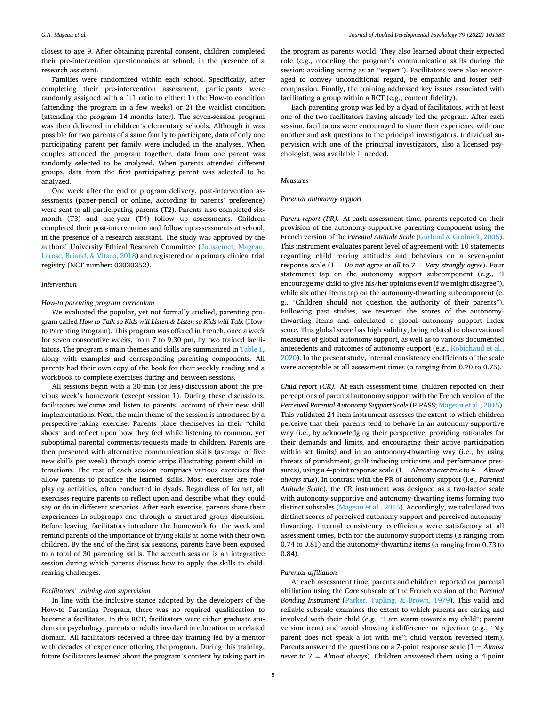closest to age 9. After obtaining parental consent, children completed their pre-intervention questionnaires at school, in the presence of a research assistant.

Families were randomized within each school. Specifcally, after completing their pre-intervention assessment, participants were randomly assigned with a 1:1 ratio to either: 1) the How-to condition (attending the program in a few weeks) or 2) the waitlist condition (attending the program 14 months later). The seven-session program was then delivered in children's elementary schools. Although it was possible for two parents of a same family to participate, data of only one participating parent per family were included in the analyses. When couples attended the program together, data from one parent was randomly selected to be analyzed. When parents attended different groups, data from the first participating parent was selected to be analyzed.

One week after the end of program delivery, post-intervention assessments (paper-pencil or online, according to parents' preference) were sent to all participating parents (T2). Parents also completed sixmonth (T3) and one-year (T4) follow up assessments. Children completed their post-intervention and follow up assessments at school, in the presence of a research assistant. The study was approved by the authors' University Ethical Research Committee (Joussemet, Mageau, Larose, Briand, & Vitaro, 2018) and registered on a primary clinical trial registry (NCT number: 03030352).

# Intervention

#### How-to parenting program curriculum

We evaluated the popular, yet not formally studied, parenting program called How to Talk so Kids will Listen & Listen so Kids will Talk (Howto Parenting Program). This program was offered in French, once a week for seven consecutive weeks, from 7 to 9:30 pm, by two trained facilitators. The program's main themes and skills are summarized in Table 1, along with examples and corresponding parenting components. All parents had their own copy of the book for their weekly reading and a workbook to complete exercises during and between sessions.

All sessions begin with a 30-min (or less) discussion about the previous week's homework (except session 1). During these discussions, facilitators welcome and listen to parents' account of their new skill implementations. Next, the main theme of the session is introduced by a perspective-taking exercise: Parents place themselves in their "child shoes" and refect upon how they feel while listening to common, yet suboptimal parental comments/requests made to children. Parents are then presented with alternative communication skills (average of fve new skills per week) through comic strips illustrating parent-child interactions. The rest of each session comprises various exercises that allow parents to practice the learned skills. Most exercises are roleplaying activities, often conducted in dyads. Regardless of format, all exercises require parents to refect upon and describe what they could say or do in different scenarios. After each exercise, parents share their experiences in subgroups and through a structured group discussion. Before leaving, facilitators introduce the homework for the week and remind parents of the importance of trying skills at home with their own children. By the end of the frst six sessions, parents have been exposed to a total of 30 parenting skills. The seventh session is an integrative session during which parents discuss how to apply the skills to childrearing challenges.

#### Facilitators*'* training and supervision

In line with the inclusive stance adopted by the developers of the How-to Parenting Program, there was no required qualifcation to become a facilitator. In this RCT, facilitators were either graduate students in psychology, parents or adults involved in education or a related domain. All facilitators received a three-day training led by a mentor with decades of experience offering the program. During this training, future facilitators learned about the program's content by taking part in the program as parents would. They also learned about their expected role (e.g., modeling the program's communication skills during the session; avoiding acting as an "expert"). Facilitators were also encouraged to convey unconditional regard, be empathic and foster selfcompassion. Finally, the training addressed key issues associated with facilitating a group within a RCT (e.g., content fdelity).

Each parenting group was led by a dyad of facilitators, with at least one of the two facilitators having already led the program. After each session, facilitators were encouraged to share their experience with one another and ask questions to the principal investigators. Individual supervision with one of the principal investigators, also a licensed psychologist, was available if needed.

## Measures

# Parental autonomy support

Parent report (PR). At each assessment time, parents reported on their provision of the autonomy-supportive parenting component using the French version of the Parental Attitude Scale (Gurland & Grolnick, 2005). This instrument evaluates parent level of agreement with 10 statements regarding child rearing attitudes and behaviors on a seven-point response scale ( $1 = Do$  not agree at all to  $7 = Very$  strongly agree). Four statements tap on the autonomy support subcomponent (e.g., "I encourage my child to give his/her opinions even if we might disagree"), while six other items tap on the autonomy-thwarting subcomponent (e. g., "Children should not question the authority of their parents"). Following past studies, we reversed the scores of the autonomythwarting items and calculated a global autonomy support index score. This global score has high validity, being related to observational measures of global autonomy support, as well as to various documented antecedents and outcomes of autonomy support (e.g., Robichaud et al., 2020). In the present study, internal consistency coefficients of the scale were acceptable at all assessment times (α ranging from 0.70 to 0.75).

Child report (CR). At each assessment time, children reported on their perceptions of parental autonomy support with the French version of the Perceived Parental Autonomy Support Scale (P-PASS; Mageau et al., 2015). This validated 24-item instrument assesses the extent to which children perceive that their parents tend to behave in an autonomy-supportive way (i.e., by acknowledging their perspective, providing rationales for their demands and limits, and encouraging their active participation within set limits) and in an autonomy-thwarting way (i.e., by using threats of punishment, guilt-inducing criticisms and performance pressures), using a 4-point response scale  $(1 =$  Almost never true to  $4 =$  Almost always true). In contrast with the PR of autonomy support (i.e., Parental Attitude Scale), the CR instrument was designed as a two-factor scale with autonomy-supportive and autonomy-thwarting items forming two distinct subscales (Mageau et al., 2015). Accordingly, we calculated two distinct scores of perceived autonomy support and perceived autonomythwarting. Internal consistency coefficients were satisfactory at all assessment times, both for the autonomy support items ( $\alpha$  ranging from 0.74 to 0.81) and the autonomy-thwarting items ( $\alpha$  ranging from 0.73 to 0.84).

#### Parental affliation

At each assessment time, parents and children reported on parental affliation using the Care subscale of the French version of the Parental Bonding Instrument (Parker, Tupling, & Brown, 1979). This valid and reliable subscale examines the extent to which parents are caring and involved with their child (e.g., "I am warm towards my child"; parent version item) and avoid showing indifference or rejection (e.g., "My parent does not speak a lot with me"; child version reversed item). Parents answered the questions on a 7-point response scale  $(1 =$  Almost never to  $7 =$  Almost always). Children answered them using a 4-point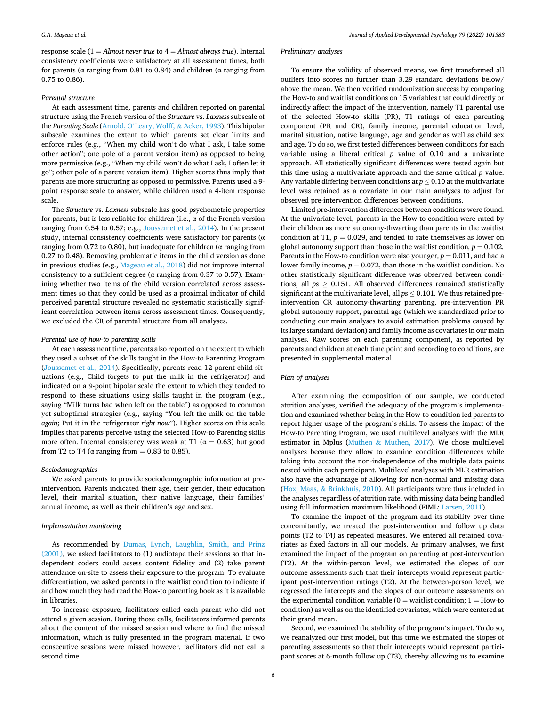response scale (1 = Almost never true to  $4 =$  Almost always true). Internal consistency coefficients were satisfactory at all assessment times, both for parents ( $\alpha$  ranging from 0.81 to 0.84) and children ( $\alpha$  ranging from 0.75 to 0.86).

## Parental structure

At each assessment time, parents and children reported on parental structure using the French version of the Structure vs. Laxness subscale of the Parenting Scale (Arnold, O'Leary, Wolff, & Acker, 1993). This bipolar subscale examines the extent to which parents set clear limits and enforce rules (e.g., "When my child won't do what I ask, I take some other action"; one pole of a parent version item) as opposed to being more permissive (e.g., "When my child won't do what I ask, I often let it go"; other pole of a parent version item). Higher scores thus imply that parents are more structuring as opposed to permissive. Parents used a 9 point response scale to answer, while children used a 4-item response scale.

The Structure vs. Laxness subscale has good psychometric properties for parents, but is less reliable for children (i.e.,  $\alpha$  of the French version ranging from 0.54 to 0.57; e.g., Joussemet et al., 2014). In the present study, internal consistency coefficients were satisfactory for parents ( $\alpha$ ) ranging from 0.72 to 0.80), but inadequate for children ( $\alpha$  ranging from 0.27 to 0.48). Removing problematic items in the child version as done in previous studies (e.g., Mageau et al., 2018) did not improve internal consistency to a sufficient degree ( $\alpha$  ranging from 0.37 to 0.57). Examining whether two items of the child version correlated across assessment times so that they could be used as a proximal indicator of child perceived parental structure revealed no systematic statistically significant correlation between items across assessment times. Consequently, we excluded the CR of parental structure from all analyses.

#### Parental use of how-to parenting skills

At each assessment time, parents also reported on the extent to which they used a subset of the skills taught in the How-to Parenting Program (Joussemet et al., 2014). Specifically, parents read 12 parent-child situations (e.g., Child forgets to put the milk in the refrigerator) and indicated on a 9-point bipolar scale the extent to which they tended to respond to these situations using skills taught in the program (e.g., saying "Milk turns bad when left on the table") as opposed to common yet suboptimal strategies (e.g., saying "You left the milk on the table again; Put it in the refrigerator right now"). Higher scores on this scale implies that parents perceive using the selected How-to Parenting skills more often. Internal consistency was weak at T1 ( $\alpha = 0.63$ ) but good from T2 to T4 ( $\alpha$  ranging from = 0.83 to 0.85).

#### Sociodemographics

We asked parents to provide sociodemographic information at preintervention. Parents indicated their age, their gender, their education level, their marital situation, their native language, their families' annual income, as well as their children's age and sex.

### Implementation monitoring

As recommended by Dumas, Lynch, Laughlin, Smith, and Prinz (2001), we asked facilitators to (1) audiotape their sessions so that independent coders could assess content fdelity and (2) take parent attendance on-site to assess their exposure to the program. To evaluate differentiation, we asked parents in the waitlist condition to indicate if and how much they had read the How-to parenting book as it is available in libraries.

To increase exposure, facilitators called each parent who did not attend a given session. During those calls, facilitators informed parents about the content of the missed session and where to fnd the missed information, which is fully presented in the program material. If two consecutive sessions were missed however, facilitators did not call a second time.

#### Preliminary analyses

To ensure the validity of observed means, we frst transformed all outliers into scores no further than 3.29 standard deviations below/ above the mean. We then verifed randomization success by comparing the How-to and waitlist conditions on 15 variables that could directly or indirectly affect the impact of the intervention, namely T1 parental use of the selected How-to skills (PR), T1 ratings of each parenting component (PR and CR), family income, parental education level, marital situation, native language, age and gender as well as child sex and age. To do so, we frst tested differences between conditions for each variable using a liberal critical  $p$  value of 0.10 and a univariate approach. All statistically significant differences were tested again but this time using a multivariate approach and the same critical  $p$  value. Any variable differing between conditions at  $p \leq 0.10$  at the multivariate level was retained as a covariate in our main analyses to adjust for observed pre-intervention differences between conditions.

Limited pre-intervention differences between conditions were found. At the univariate level, parents in the How-to condition were rated by their children as more autonomy-thwarting than parents in the waitlist condition at T1,  $p = 0.029$ , and tended to rate themselves as lower on global autonomy support than those in the waitlist condition,  $p = 0.102$ . Parents in the How-to condition were also younger,  $p = 0.011$ , and had a lower family income,  $p = 0.072$ , than those in the waitlist condition. No other statistically significant difference was observed between conditions, all  $ps \geq 0.151$ . All observed differences remained statistically significant at the multivariate level, all  $ps \leq 0.101$ . We thus retained preintervention CR autonomy-thwarting parenting, pre-intervention PR global autonomy support, parental age (which we standardized prior to conducting our main analyses to avoid estimation problems caused by its large standard deviation) and family income as covariates in our main analyses. Raw scores on each parenting component, as reported by parents and children at each time point and according to conditions, are presented in supplemental material.

#### Plan of analyses

After examining the composition of our sample, we conducted attrition analyses, verifed the adequacy of the program's implementation and examined whether being in the How-to condition led parents to report higher usage of the program's skills. To assess the impact of the How-to Parenting Program, we used multilevel analyses with the MLR estimator in Mplus (Muthen & Muthen, 2017). We chose multilevel analyses because they allow to examine condition differences while taking into account the non-independence of the multiple data points nested within each participant. Multilevel analyses with MLR estimation also have the advantage of allowing for non-normal and missing data (Hox, Maas, & Brinkhuis, 2010). All participants were thus included in the analyses regardless of attrition rate, with missing data being handled using full information maximum likelihood (FIML; Larsen, 2011).

To examine the impact of the program and its stability over time concomitantly, we treated the post-intervention and follow up data points (T2 to T4) as repeated measures. We entered all retained covariates as fxed factors in all our models. As primary analyses, we frst examined the impact of the program on parenting at post-intervention (T2). At the within-person level, we estimated the slopes of our outcome assessments such that their intercepts would represent participant post-intervention ratings (T2). At the between-person level, we regressed the intercepts and the slopes of our outcome assessments on the experimental condition variable ( $0 =$  waitlist condition;  $1 =$  How-to condition) as well as on the identifed covariates, which were centered at their grand mean.

Second, we examined the stability of the program's impact. To do so, we reanalyzed our frst model, but this time we estimated the slopes of parenting assessments so that their intercepts would represent participant scores at 6-month follow up (T3), thereby allowing us to examine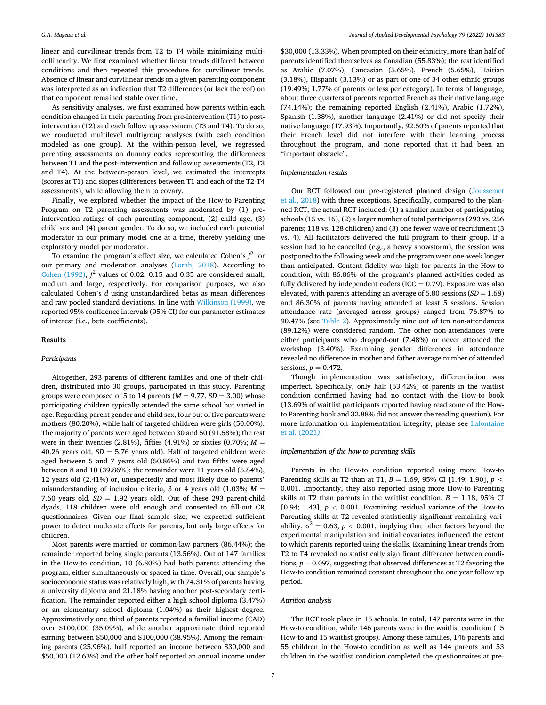linear and curvilinear trends from T2 to T4 while minimizing multicollinearity. We frst examined whether linear trends differed between conditions and then repeated this procedure for curvilinear trends. Absence of linear and curvilinear trends on a given parenting component was interpreted as an indication that T2 differences (or lack thereof) on that component remained stable over time.

As sensitivity analyses, we frst examined how parents within each condition changed in their parenting from pre-intervention (T1) to postintervention (T2) and each follow up assessment (T3 and T4). To do so, we conducted multilevel multigroup analyses (with each condition modeled as one group). At the within-person level, we regressed parenting assessments on dummy codes representing the differences between T1 and the post-intervention and follow up assessments (T2, T3 and T4). At the between-person level, we estimated the intercepts (scores at T1) and slopes (differences between T1 and each of the T2-T4 assessments), while allowing them to covary.

Finally, we explored whether the impact of the How-to Parenting Program on T2 parenting assessments was moderated by (1) preintervention ratings of each parenting component, (2) child age, (3) child sex and (4) parent gender. To do so, we included each potential moderator in our primary model one at a time, thereby yielding one exploratory model per moderator.

To examine the program's effect size, we calculated Cohen's  $f^2$  for our primary and moderation analyses (Lorah, 2018). According to Cohen (1992),  $f^2$  values of 0.02, 0.15 and 0.35 are considered small, medium and large, respectively. For comparison purposes, we also calculated Cohen's d using unstandardized betas as mean differences and raw pooled standard deviations. In line with Wilkinson (1999), we reported 95% confdence intervals (95% CI) for our parameter estimates of interest (i.e., beta coefficients).

#### Results

#### **Participants**

Altogether, 293 parents of different families and one of their children, distributed into 30 groups, participated in this study. Parenting groups were composed of 5 to 14 parents ( $M = 9.77$ ,  $SD = 3.00$ ) whose participating children typically attended the same school but varied in age. Regarding parent gender and child sex, four out of five parents were mothers (80.20%), while half of targeted children were girls (50.00%). The majority of parents were aged between 30 and 50 (91.58%); the rest were in their twenties (2.81%), fifties (4.91%) or sixties (0.70%;  $M =$ 40.26 years old,  $SD = 5.76$  years old). Half of targeted children were aged between 5 and 7 years old (50.86%) and two ffths were aged between 8 and 10 (39.86%); the remainder were 11 years old (5.84%), 12 years old (2.41%) or, unexpectedly and most likely due to parents' misunderstanding of inclusion criteria, 3 or 4 years old  $(1.03\%; M =$ 7.60 years old,  $SD = 1.92$  years old). Out of these 293 parent-child dyads, 118 children were old enough and consented to fll-out CR questionnaires. Given our final sample size, we expected sufficient power to detect moderate effects for parents, but only large effects for children.

Most parents were married or common-law partners (86.44%); the remainder reported being single parents (13.56%). Out of 147 families in the How-to condition, 10 (6.80%) had both parents attending the program, either simultaneously or spaced in time. Overall, our sample's socioeconomic status was relatively high, with 74.31% of parents having a university diploma and 21.18% having another post-secondary certification. The remainder reported either a high school diploma (3.47%) or an elementary school diploma (1.04%) as their highest degree. Approximatively one third of parents reported a familial income (CAD) over \$100,000 (35.09%), while another approximate third reported earning between \$50,000 and \$100,000 (38.95%). Among the remaining parents (25.96%), half reported an income between \$30,000 and \$50,000 (12.63%) and the other half reported an annual income under \$30,000 (13.33%). When prompted on their ethnicity, more than half of parents identifed themselves as Canadian (55.83%); the rest identifed as Arabic (7.07%), Caucasian (5.65%), French (5.65%), Haitian (3.18%), Hispanic (3.13%) or as part of one of 34 other ethnic groups (19.49%; 1.77% of parents or less per category). In terms of language, about three quarters of parents reported French as their native language (74.14%); the remaining reported English (2.41%), Arabic (1.72%), Spanish (1.38%), another language (2.41%) or did not specify their native language (17.93%). Importantly, 92.50% of parents reported that their French level did not interfere with their learning process throughout the program, and none reported that it had been an "important obstacle".

### Implementation results

Our RCT followed our pre-registered planned design (Joussemet et al., 2018) with three exceptions. Specifcally, compared to the planned RCT, the actual RCT included: (1) a smaller number of participating schools (15 vs. 16), (2) a larger number of total participants (293 vs. 256 parents; 118 vs. 128 children) and (3) one fewer wave of recruitment (3 vs. 4). All facilitators delivered the full program to their group. If a session had to be cancelled (e.g., a heavy snowstorm), the session was postponed to the following week and the program went one-week longer than anticipated. Content fdelity was high for parents in the How-to condition, with 86.86% of the program's planned activities coded as fully delivered by independent coders (ICC =  $0.79$ ). Exposure was also elevated, with parents attending an average of 5.80 sessions  $(SD = 1.68)$ and 86.30% of parents having attended at least 5 sessions. Session attendance rate (averaged across groups) ranged from 76.87% to 90.47% (see Table 2). Approximately nine out of ten non-attendances (89.12%) were considered random. The other non-attendances were either participants who dropped-out (7.48%) or never attended the workshop (3.40%). Examining gender differences in attendance revealed no difference in mother and father average number of attended sessions,  $p = 0.472$ .

Though implementation was satisfactory, differentiation was imperfect. Specifically, only half (53.42%) of parents in the waitlist condition confrmed having had no contact with the How-to book (13.69% of waitlist participants reported having read some of the Howto Parenting book and 32.88% did not answer the reading question). For more information on implementation integrity, please see Lafontaine et al. (2021).

# Implementation of the how-to parenting skills

Parents in the How-to condition reported using more How-to Parenting skills at T2 than at T1,  $B = 1.69$ , 95% CI [1.49; 1.90],  $p <$ 0.001. Importantly, they also reported using more How-to Parenting skills at T2 than parents in the waitlist condition,  $B = 1.18$ , 95% CI [0.94; 1.43], p *<* 0.001. Examining residual variance of the How-to Parenting skills at T2 revealed statistically significant remaining variability,  $\sigma^2 = 0.63$ ,  $p < 0.001$ , implying that other factors beyond the experimental manipulation and initial covariates infuenced the extent to which parents reported using the skills. Examining linear trends from T2 to T4 revealed no statistically significant difference between conditions,  $p = 0.097$ , suggesting that observed differences at T2 favoring the How-to condition remained constant throughout the one year follow up period.

#### Attrition analysis

The RCT took place in 15 schools. In total, 147 parents were in the How-to condition, while 146 parents were in the waitlist condition (15 How-to and 15 waitlist groups). Among these families, 146 parents and 55 children in the How-to condition as well as 144 parents and 53 children in the waitlist condition completed the questionnaires at pre-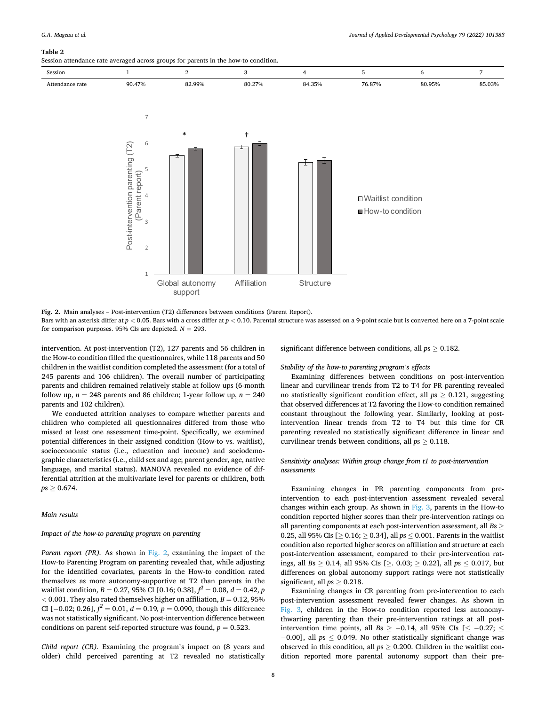#### Table 2

Session attendance rate averaged across groups for parents in the how-to condition.

| Session              |        |        |        |        |                          |        |        |
|----------------------|--------|--------|--------|--------|--------------------------|--------|--------|
| Attendance<br>: rate | 90.47% | 82.99% | 80.27% | 84.35% | $\neg c$<br>Q70<br>∕ ה.ם | 80.950 | 85.03% |



Fig. 2. Main analyses – Post-intervention (T2) differences between conditions (Parent Report).

Bars with an asterisk differ at  $p < 0.05$ . Bars with a cross differ at  $p < 0.10$ . Parental structure was assessed on a 9-point scale but is converted here on a 7-point scale for comparison purposes. 95% CIs are depicted.  $N = 293$ .

intervention. At post-intervention (T2), 127 parents and 56 children in the How-to condition flled the questionnaires, while 118 parents and 50 children in the waitlist condition completed the assessment (for a total of 245 parents and 106 children). The overall number of participating parents and children remained relatively stable at follow ups (6-month follow up,  $n = 248$  parents and 86 children; 1-year follow up,  $n = 240$ parents and 102 children).

We conducted attrition analyses to compare whether parents and children who completed all questionnaires differed from those who missed at least one assessment time-point. Specifcally, we examined potential differences in their assigned condition (How-to vs. waitlist), socioeconomic status (i.e., education and income) and sociodemographic characteristics (i.e., child sex and age; parent gender, age, native language, and marital status). MANOVA revealed no evidence of differential attrition at the multivariate level for parents or children, both  $ps \ge 0.674$ .

# Main results

# Impact of the how-to parenting program on parenting

Parent report (PR). As shown in Fig. 2, examining the impact of the How-to Parenting Program on parenting revealed that, while adjusting for the identifed covariates, parents in the How-to condition rated themselves as more autonomy-supportive at T2 than parents in the waitlist condition,  $B = 0.27$ , 95% CI [0.16; 0.38],  $f^2 = 0.08$ ,  $d = 0.42$ , p  $<$  0.001. They also rated themselves higher on affiliation,  $B = 0.12$ , 95% CI [−0.02; 0.26],  $f^2 = 0.01$ ,  $d = 0.19$ ,  $p = 0.090$ , though this difference was not statistically signifcant. No post-intervention difference between conditions on parent self-reported structure was found,  $p = 0.523$ .

Child report (CR). Examining the program's impact on (8 years and older) child perceived parenting at T2 revealed no statistically significant difference between conditions, all  $ps \geq 0.182$ .

# Stability of the how-to parenting program*'*s effects

Examining differences between conditions on post-intervention linear and curvilinear trends from T2 to T4 for PR parenting revealed no statistically significant condition effect, all  $ps > 0.121$ , suggesting that observed differences at T2 favoring the How-to condition remained constant throughout the following year. Similarly, looking at postintervention linear trends from T2 to T4 but this time for CR parenting revealed no statistically significant difference in linear and curvilinear trends between conditions, all  $ps \geq 0.118$ .

# Sensitivity analyses: Within group change from t1 to post-intervention assessments

Examining changes in PR parenting components from preintervention to each post-intervention assessment revealed several changes within each group. As shown in Fig. 3, parents in the How-to condition reported higher scores than their pre-intervention ratings on all parenting components at each post-intervention assessment, all  $Bs \geq$ 0.25, all 95% CIs  $[ \ge 0.16 ; \ge 0.34 ]$ , all  $ps \le 0.001$ . Parents in the waitlist condition also reported higher scores on affliation and structure at each post-intervention assessment, compared to their pre-intervention ratings, all Bs ≥ 0.14, all 95% CIs [≥. 0.03; ≥ 0.22], all ps ≤ 0.017, but differences on global autonomy support ratings were not statistically significant, all  $ps \geq 0.218$ .

Examining changes in CR parenting from pre-intervention to each post-intervention assessment revealed fewer changes. As shown in Fig. 3, children in the How-to condition reported less autonomythwarting parenting than their pre-intervention ratings at all postintervention time points, all Bs  $\ge$  -0.14, all 95% CIs [ $\le$  -0.27;  $\le$  $-0.00$ ], all  $ps \leq 0.049$ . No other statistically significant change was observed in this condition, all  $ps \geq 0.200$ . Children in the waitlist condition reported more parental autonomy support than their pre-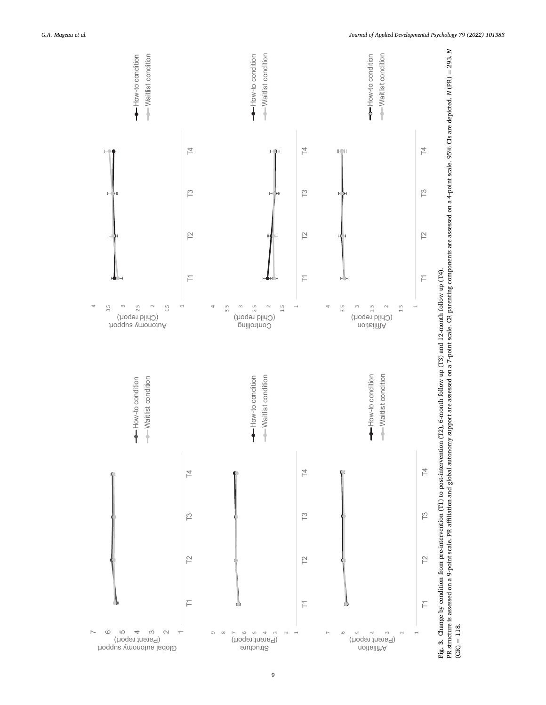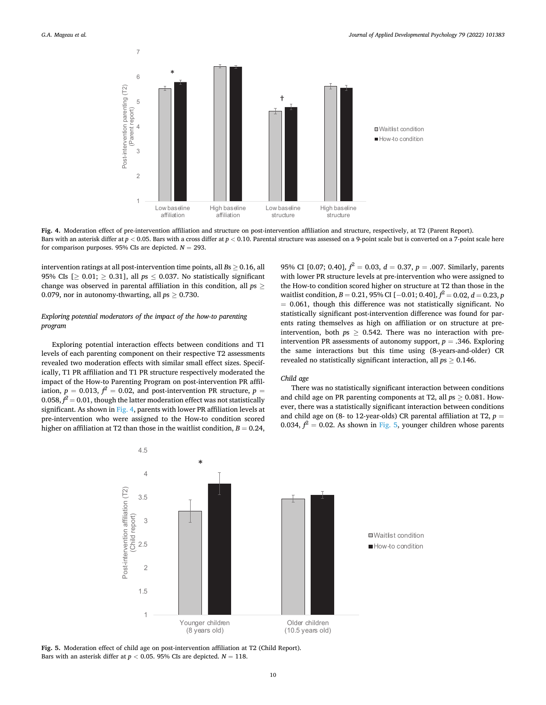

Fig. 4. Moderation effect of pre-intervention affliation and structure on post-intervention affliation and structure, respectively, at T2 (Parent Report). Bars with an asterisk differ at  $p < 0.05$ . Bars with a cross differ at  $p < 0.10$ . Parental structure was assessed on a 9-point scale but is converted on a 7-point scale here for comparison purposes. 95% CIs are depicted.  $N = 293$ .

intervention ratings at all post-intervention time points, all  $Bs \geq 0.16$ , all 95% CIs [ $\geq 0.01$ ;  $\geq 0.31$ ], all ps  $\leq 0.037$ . No statistically significant change was observed in parental affiliation in this condition, all  $ps \geq$ 0.079, nor in autonomy-thwarting, all  $ps \geq 0.730$ .

# Exploring potential moderators of the impact of the how-to parenting program

Exploring potential interaction effects between conditions and T1 levels of each parenting component on their respective T2 assessments revealed two moderation effects with similar small effect sizes. Specifically, T1 PR affliation and T1 PR structure respectively moderated the impact of the How-to Parenting Program on post-intervention PR affliation,  $p_1 = 0.013$ ,  $f^2 = 0.02$ , and post-intervention PR structure,  $p =$  $0.058, f^2 = 0.01$ , though the latter moderation effect was not statistically significant. As shown in Fig. 4, parents with lower PR affiliation levels at pre-intervention who were assigned to the How-to condition scored higher on affiliation at T2 than those in the waitlist condition,  $B = 0.24$ ,

95% CI [0.07; 0.40],  $f^2 = 0.03$ ,  $d = 0.37$ ,  $p = .007$ . Similarly, parents with lower PR structure levels at pre-intervention who were assigned to the How-to condition scored higher on structure at T2 than those in the waitlist condition,  $B = 0.21$ , 95% CI [ $-0.01$ ; 0.40],  $f^2 = 0.02$ ,  $d = 0.23$ , p  $= 0.061$ , though this difference was not statistically significant. No statistically significant post-intervention difference was found for parents rating themselves as high on affliation or on structure at preintervention, both  $ps \geq 0.542$ . There was no interaction with preintervention PR assessments of autonomy support,  $p = .346$ . Exploring the same interactions but this time using (8-years-and-older) CR revealed no statistically significant interaction, all  $ps > 0.146$ .

# Child age

There was no statistically significant interaction between conditions and child age on PR parenting components at T2, all  $ps > 0.081$ . However, there was a statistically signifcant interaction between conditions and child age on (8- to 12-year-olds) CR parental affiliation at T2,  $p =$ 0.034,  $f^2 = 0.02$ . As shown in Fig. 5, younger children whose parents



Fig. 5. Moderation effect of child age on post-intervention affliation at T2 (Child Report). Bars with an asterisk differ at  $p < 0.05$ . 95% CIs are depicted.  $N = 118$ .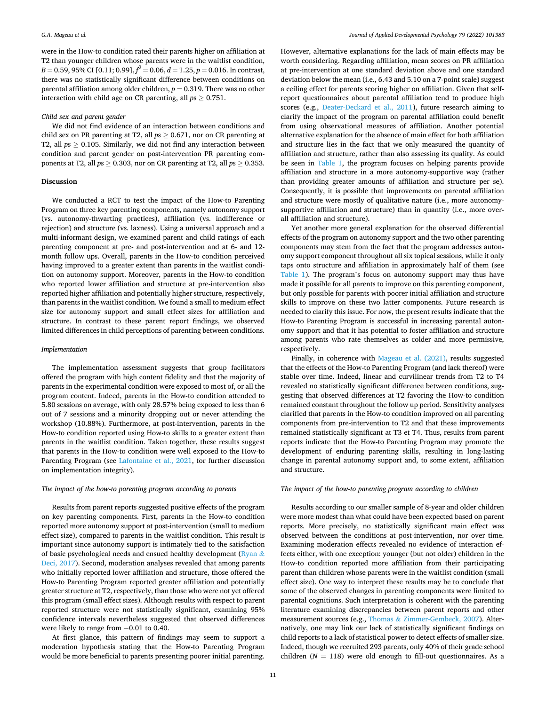were in the How-to condition rated their parents higher on affliation at T2 than younger children whose parents were in the waitlist condition,  $B = 0.59$ , 95% CI [0.11; 0.99],  $f^2 = 0.06$ ,  $d = 1.25$ ,  $p = 0.016$ . In contrast, there was no statistically signifcant difference between conditions on parental affiliation among older children,  $p = 0.319$ . There was no other interaction with child age on CR parenting, all  $ps \geq 0.751$ .

#### Child sex and parent gender

We did not fnd evidence of an interaction between conditions and child sex on PR parenting at T2, all  $ps \geq 0.671$ , nor on CR parenting at T2, all  $ps \geq 0.105$ . Similarly, we did not find any interaction between condition and parent gender on post-intervention PR parenting components at T2, all  $ps \ge 0.303$ , nor on CR parenting at T2, all  $ps \ge 0.353$ .

# Discussion

We conducted a RCT to test the impact of the How-to Parenting Program on three key parenting components, namely autonomy support (vs. autonomy-thwarting practices), affliation (vs. indifference or rejection) and structure (vs. laxness). Using a universal approach and a multi-informant design, we examined parent and child ratings of each parenting component at pre- and post-intervention and at 6- and 12 month follow ups. Overall, parents in the How-to condition perceived having improved to a greater extent than parents in the waitlist condition on autonomy support. Moreover, parents in the How-to condition who reported lower affliation and structure at pre-intervention also reported higher affliation and potentially higher structure, respectively, than parents in the waitlist condition. We found a small to medium effect size for autonomy support and small effect sizes for affliation and structure. In contrast to these parent report fndings, we observed limited differences in child perceptions of parenting between conditions.

#### Implementation

The implementation assessment suggests that group facilitators offered the program with high content fdelity and that the majority of parents in the experimental condition were exposed to most of, or all the program content. Indeed, parents in the How-to condition attended to 5.80 sessions on average, with only 28.57% being exposed to less than 6 out of 7 sessions and a minority dropping out or never attending the workshop (10.88%). Furthermore, at post-intervention, parents in the How-to condition reported using How-to skills to a greater extent than parents in the waitlist condition. Taken together, these results suggest that parents in the How-to condition were well exposed to the How-to Parenting Program (see Lafontaine et al., 2021, for further discussion on implementation integrity).

# The impact of the how-to parenting program according to parents

Results from parent reports suggested positive effects of the program on key parenting components. First, parents in the How-to condition reported more autonomy support at post-intervention (small to medium effect size), compared to parents in the waitlist condition. This result is important since autonomy support is intimately tied to the satisfaction of basic psychological needs and ensued healthy development ( $Ryan &$ Deci, 2017). Second, moderation analyses revealed that among parents who initially reported lower affliation and structure, those offered the How-to Parenting Program reported greater affliation and potentially greater structure at T2, respectively, than those who were not yet offered this program (small effect sizes). Although results with respect to parent reported structure were not statistically signifcant, examining 95% confdence intervals nevertheless suggested that observed differences were likely to range from  $-0.01$  to 0.40.

At first glance, this pattern of findings may seem to support a moderation hypothesis stating that the How-to Parenting Program would be more beneficial to parents presenting poorer initial parenting. However, alternative explanations for the lack of main effects may be worth considering. Regarding affliation, mean scores on PR affliation at pre-intervention at one standard deviation above and one standard deviation below the mean (i.e., 6.43 and 5.10 on a 7-point scale) suggest a ceiling effect for parents scoring higher on affliation. Given that selfreport questionnaires about parental affliation tend to produce high scores (e.g., Deater-Deckard et al., 2011), future research aiming to clarify the impact of the program on parental affliation could beneft from using observational measures of affliation. Another potential alternative explanation for the absence of main effect for both affliation and structure lies in the fact that we only measured the quantity of affliation and structure, rather than also assessing its quality. As could be seen in Table 1, the program focuses on helping parents provide affliation and structure in a more autonomy-supportive way (rather than providing greater amounts of affliation and structure per se). Consequently, it is possible that improvements on parental affliation and structure were mostly of qualitative nature (i.e., more autonomysupportive affliation and structure) than in quantity (i.e., more overall affliation and structure).

Yet another more general explanation for the observed differential effects of the program on autonomy support and the two other parenting components may stem from the fact that the program addresses autonomy support component throughout all six topical sessions, while it only taps onto structure and affliation in approximately half of them (see Table 1). The program's focus on autonomy support may thus have made it possible for all parents to improve on this parenting component, but only possible for parents with poorer initial affliation and structure skills to improve on these two latter components. Future research is needed to clarify this issue. For now, the present results indicate that the How-to Parenting Program is successful in increasing parental autonomy support and that it has potential to foster affliation and structure among parents who rate themselves as colder and more permissive, respectively.

Finally, in coherence with Mageau et al. (2021), results suggested that the effects of the How-to Parenting Program (and lack thereof) were stable over time. Indeed, linear and curvilinear trends from T2 to T4 revealed no statistically significant difference between conditions, suggesting that observed differences at T2 favoring the How-to condition remained constant throughout the follow up period. Sensitivity analyses clarifed that parents in the How-to condition improved on all parenting components from pre-intervention to T2 and that these improvements remained statistically signifcant at T3 et T4. Thus, results from parent reports indicate that the How-to Parenting Program may promote the development of enduring parenting skills, resulting in long-lasting change in parental autonomy support and, to some extent, affliation and structure.

# The impact of the how-to parenting program according to children

Results according to our smaller sample of 8-year and older children were more modest than what could have been expected based on parent reports. More precisely, no statistically significant main effect was observed between the conditions at post-intervention, nor over time. Examining moderation effects revealed no evidence of interaction effects either, with one exception: younger (but not older) children in the How-to condition reported more affliation from their participating parent than children whose parents were in the waitlist condition (small effect size). One way to interpret these results may be to conclude that some of the observed changes in parenting components were limited to parental cognitions. Such interpretation is coherent with the parenting literature examining discrepancies between parent reports and other measurement sources (e.g., Thomas & Zimmer-Gembeck, 2007). Alternatively, one may link our lack of statistically signifcant fndings on child reports to a lack of statistical power to detect effects of smaller size. Indeed, though we recruited 293 parents, only 40% of their grade school children ( $N = 118$ ) were old enough to fill-out questionnaires. As a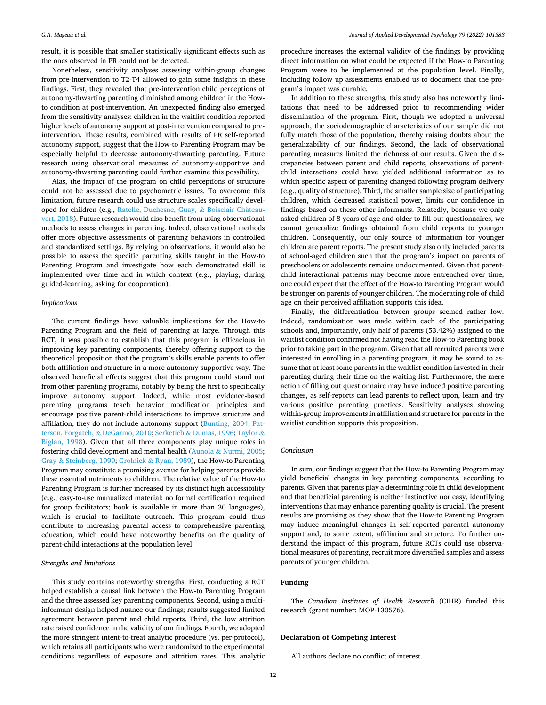result, it is possible that smaller statistically significant effects such as the ones observed in PR could not be detected.

Nonetheless, sensitivity analyses assessing within-group changes from pre-intervention to T2-T4 allowed to gain some insights in these fndings. First, they revealed that pre-intervention child perceptions of autonomy-thwarting parenting diminished among children in the Howto condition at post-intervention. An unexpected fnding also emerged from the sensitivity analyses: children in the waitlist condition reported higher levels of autonomy support at post-intervention compared to preintervention. These results, combined with results of PR self-reported autonomy support, suggest that the How-to Parenting Program may be especially helpful to decrease autonomy-thwarting parenting. Future research using observational measures of autonomy-supportive and autonomy-thwarting parenting could further examine this possibility.

Alas, the impact of the program on child perceptions of structure could not be assessed due to psychometric issues. To overcome this limitation, future research could use structure scales specifcally developed for children (e.g., Ratelle, Duchesne, Guay, & Boisclair Châteauvert, 2018). Future research would also beneft from using observational methods to assess changes in parenting. Indeed, observational methods offer more objective assessments of parenting behaviors in controlled and standardized settings. By relying on observations, it would also be possible to assess the specifc parenting skills taught in the How-to Parenting Program and investigate how each demonstrated skill is implemented over time and in which context (e.g., playing, during guided-learning, asking for cooperation).

# **Implications**

The current fndings have valuable implications for the How-to Parenting Program and the field of parenting at large. Through this RCT, it was possible to establish that this program is efficacious in improving key parenting components, thereby offering support to the theoretical proposition that the program's skills enable parents to offer both affliation and structure in a more autonomy-supportive way. The observed beneficial effects suggest that this program could stand out from other parenting programs, notably by being the first to specifically improve autonomy support. Indeed, while most evidence-based parenting programs teach behavior modifcation principles and encourage positive parent-child interactions to improve structure and affliation, they do not include autonomy support (Bunting, 2004; Patterson, Forgatch, & DeGarmo, 2010; Serketich & Dumas, 1996; Taylor & Biglan, 1998). Given that all three components play unique roles in fostering child development and mental health (Aunola & Nurmi, 2005; Gray & Steinberg, 1999; Grolnick & Ryan, 1989), the How-to Parenting Program may constitute a promising avenue for helping parents provide these essential nutriments to children. The relative value of the How-to Parenting Program is further increased by its distinct high accessibility (e.g., easy-to-use manualized material; no formal certifcation required for group facilitators; book is available in more than 30 languages), which is crucial to facilitate outreach. This program could thus contribute to increasing parental access to comprehensive parenting education, which could have noteworthy benefts on the quality of parent-child interactions at the population level.

# Strengths and limitations

This study contains noteworthy strengths. First, conducting a RCT helped establish a causal link between the How-to Parenting Program and the three assessed key parenting components. Second, using a multiinformant design helped nuance our fndings; results suggested limited agreement between parent and child reports. Third, the low attrition rate raised confdence in the validity of our fndings. Fourth, we adopted the more stringent intent-to-treat analytic procedure (vs. per-protocol), which retains all participants who were randomized to the experimental conditions regardless of exposure and attrition rates. This analytic procedure increases the external validity of the fndings by providing direct information on what could be expected if the How-to Parenting Program were to be implemented at the population level. Finally, including follow up assessments enabled us to document that the program's impact was durable.

In addition to these strengths, this study also has noteworthy limitations that need to be addressed prior to recommending wider dissemination of the program. First, though we adopted a universal approach, the sociodemographic characteristics of our sample did not fully match those of the population, thereby raising doubts about the generalizability of our fndings. Second, the lack of observational parenting measures limited the richness of our results. Given the discrepancies between parent and child reports, observations of parentchild interactions could have yielded additional information as to which specifc aspect of parenting changed following program delivery (e.g., quality of structure). Third, the smaller sample size of participating children, which decreased statistical power, limits our confdence in fndings based on these other informants. Relatedly, because we only asked children of 8 years of age and older to fll-out questionnaires, we cannot generalize fndings obtained from child reports to younger children. Consequently, our only source of information for younger children are parent reports. The present study also only included parents of school-aged children such that the program's impact on parents of preschoolers or adolescents remains undocumented. Given that parentchild interactional patterns may become more entrenched over time, one could expect that the effect of the How-to Parenting Program would be stronger on parents of younger children. The moderating role of child age on their perceived affliation supports this idea.

Finally, the differentiation between groups seemed rather low. Indeed, randomization was made within each of the participating schools and, importantly, only half of parents (53.42%) assigned to the waitlist condition confrmed not having read the How-to Parenting book prior to taking part in the program. Given that all recruited parents were interested in enrolling in a parenting program, it may be sound to assume that at least some parents in the waitlist condition invested in their parenting during their time on the waiting list. Furthermore, the mere action of flling out questionnaire may have induced positive parenting changes, as self-reports can lead parents to reflect upon, learn and try various positive parenting practices. Sensitivity analyses showing within-group improvements in affliation and structure for parents in the waitlist condition supports this proposition.

### Conclusion

In sum, our fndings suggest that the How-to Parenting Program may yield beneficial changes in key parenting components, according to parents. Given that parents play a determining role in child development and that beneficial parenting is neither instinctive nor easy, identifying interventions that may enhance parenting quality is crucial. The present results are promising as they show that the How-to Parenting Program may induce meaningful changes in self-reported parental autonomy support and, to some extent, affliation and structure. To further understand the impact of this program, future RCTs could use observational measures of parenting, recruit more diversifed samples and assess parents of younger children.

# Funding

The Canadian Institutes of Health Research (CIHR) funded this research (grant number: MOP-130576).

## Declaration of Competing Interest

All authors declare no confict of interest.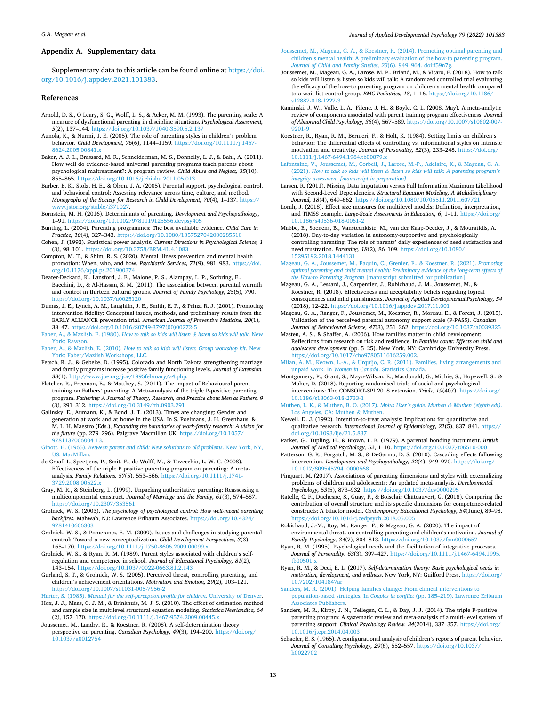#### Appendix A. Supplementary data

Supplementary data to this article can be found online at https://doi. org/10.1016/j.appdev.2021.101383.

#### References

- Arnold, D. S., O'Leary, S. G., Wolff, L. S., & Acker, M. M. (1993). The parenting scale: A measure of dysfunctional parenting in discipline situations. Psychological Assessment, 5(2), 137–144. https://doi.org/10.1037/1040-3590.5.2.137
- Aunola, K., & Nurmi, J. E. (2005). The role of parenting styles in children's problem behavior. Child Development, 76(6), 1144–1159. https://doi.org/10.1111/j.1467- 8624.2005.00841.x
- Baker, A. J. L., Brassard, M. R., Schneiderman, M. S., Donnelly, L. J., & Bahl, A. (2011). How well do evidence-based universal parenting programs teach parents about psychological maltreatment?: A program review. Child Abuse and Neglect, 35(10), 855–865. https://doi.org/10.1016/j.chiabu.2011.05.013
- Barber, B. K., Stolz, H. E., & Olsen, J. A. (2005). Parental support, psychological control, and behavioral control: Assessing relevance across time, culture, and method. Monographs of the Society for Research in Child Development, 70(4), 1–137. https:// stable/i371027.
- Bornstein, M. H. (2016). Determinants of parenting. Development and Psychopathology, 1–91. https://doi.org/10.1002/9781119125556.devpsy405
- Bunting, L. (2004). Parenting programmes: The best available evidence. Child Care in Practice, 10(4), 327–343. https://doi.org/10.1080/1357527042000285510
- Cohen, J. (1992). Statistical power analysis. Current Directions in Psychological Science, 1 (3), 98–101. https://doi.org/10.3758/BRM.41.4.1083 Compton, M. T., & Shim, R. S. (2020). Mental illness prevention and mental health
- promotion: When, who, and how. Psychiatric Services, 71(9), 981–983. https://doi. org/10.1176/appi.ps.201900374 Deater-Deckard, K., Lansford, J. E., Malone, P. S., Alampay, L. P., Sorbring, E.,
- Bacchini, D., & Al-Hassan, S. M. (2011). The association between parental warmth and control in thirteen cultural groups. Journal of Family Psychology, 25(5), 790. https://doi.org/10.1037/a0025120
- Dumas, J. E., Lynch, A. M., Laughlin, J. E., Smith, E. P., & Prinz, R. J. (2001). Promoting intervention fdelity: Conceptual issues, methods, and preliminary results from the EARLY ALLIANCE prevention trial. American Journal of Preventive Medicine, 20(1), 38–47. https://doi.org/10.1016/S0749-3797(00)00272-5
- Faber, A., & Mazlish, E. (1980). How to talk so kids will listen & listen so kids will talk. New York: Rawson.
- Faber, A., & Mazlish, E. (2010). How to talk so kids will listen: Group workshop kit. New York: Faber/Mazlish Workshops, LLC.
- Fetsch, R. J., & Gebeke, D. (1995). Colorado and North Dakota strengthening marriage and family programs increase positive family functioning levels. Journal of Extension, 33(1). http://www.joe.org/joe/1995february/a4.php.
- Fletcher, R., Freeman, E., & Matthey, S. (2011). The impact of Behavioural parent training on Fathers' parenting: A Meta-analysis of the triple P-positive parenting program. Fathering: A Journal of Theory, Research, and Practice about Men as Fathers, 9 (3), 291–312. https://doi.org/10.3149/fth.0903.291
- Galinsky, E., Aumann, K., & Bond, J. T. (2013). Times are changing: Gender and generation at work and at home in the USA. In S. Poelmans, J. H. Greenhaus, & M. L. H. Maestro (Eds.), Expanding the boundaries of work-family research: A vision for the future (pp. 279–296). Palgrave Macmillan UK. https://doi.org/10.1057/ 9781137006004\_13.
- Ginott, H. (1965). Between parent and child: New solutions to old problems. New York, NY, US: MacMillan.
- de Graaf, I., Speetjens, P., Smit, F., de Wolff, M., & Tavecchio, L. W. C. (2008). Effectiveness of the triple P positive parenting program on parenting: A metaanalysis. Family Relations, 57(5), 553–566. https://doi.org/10.1111/j.1741- 3729.2008.00522.x
- Gray, M. R., & Steinberg, L. (1999). Unpacking authoritative parenting: Reassessing a multicomponental construct. Journal of Marriage and the Family, 61(3), 574–587. https://doi.org/10.2307/353561
- Grolnick, W. S. (2003). The psychology of psychological control: How well-meant parenting backfres. Mahwah, NJ: Lawrence Erlbaum Associates. https://doi.org/10.4324/ 9781410606303
- Grolnick, W. S., & Pomerantz, E. M. (2009). Issues and challenges in studying parental control: Toward a new conceptualization. Child Development Perspectives, 3(3), 165–170. https://doi.org/10.1111/j.1750-8606.2009.00099.x
- Grolnick, W. S., & Ryan, R. M. (1989). Parent styles associated with children's selfregulation and competence in school. Journal of Educational Psychology, 81(2), 143–154. https://doi.org/10.1037/0022-0663.81.2.143
- Gurland, S. T., & Grolnick, W. S. (2005). Perceived threat, controlling parenting, and children's achievement orientations. Motivation and Emotion, 29(2), 103–121. https://doi.org/10.1007/s11031-005-7956-2
- Harter, S. (1985). Manual for the self-perception profile for children. University of Denver.
- Hox, J. J., Maas, C. J. M., & Brinkhuis, M. J. S. (2010). The effect of estimation method and sample size in multilevel structural equation modeling. Statistica Neerlandica, 64 (2), 157–170. https://doi.org/10.1111/j.1467-9574.2009.00445.x
- Joussemet, M., Landry, R., & Koestner, R. (2008). A self-determination theory perspective on parenting. Canadian Psychology, 49(3), 194–200. https://doi.org/ 10.1037/a0012754
- Joussemet, M., Mageau, G. A., & Koestner, R. (2014). Promoting optimal parenting and children's mental health: A preliminary evaluation of the how-to parenting program. Journal of Child and Family Studies, 23(6), 949–964. doi:f59n7g.
- Joussemet, M., Mageau, G. A., Larose, M. P., Briand, M., & Vitaro, F. (2018). How to talk so kids will listen & listen so kids will talk: A randomized controlled trial evaluating the efficacy of the how-to parenting program on children's mental health compared to a wait-list control group. BMC Pediatrics, 18, 1-16. https://doi.org/10.1186 s12887-018-1227-
- Kaminski, J. W., Valle, L. A., Filene, J. H., & Boyle, C. L. (2008, May). A meta-analytic review of components associated with parent training program effectiveness. Journal of Abnormal Child Psychology, 36(4), 567–589. https://doi.org/10.1007/s10802-007-
- 9201-9 Koestner, R., Ryan, R. M., Bernieri, F., & Holt, K. (1984). Setting limits on children's behavior: The differential effects of controlling vs. informational styles on intrinsic motivation and creativity. Journal of Personality, 52(3), 233–248. https://doi.org/ 10.1111/j.1467-6494.1984.tb00879.x
- Lafontaine, V., Joussemet, M., Corbeil, J., Larose, M.-P., Adelaire, K., & Mageau, G. A. (2021). How to talk so kids will listen & listen so kids will talk: A parenting program*'*s integrity assessment [manuscript in preparation].
- Larsen, R. (2011). Missing Data Imputation versus Full Information Maximum Likelihood with Second-Level Dependencies. Structural Equation Modeling. A Multidisciplinary Journal, 18(4), 649–662. https://doi.org/10.1080/10705511.2011.607721
- Lorah, J. (2018). Effect size measures for multilevel models: Definition, interpretation, and TIMSS example. Large-Scale Assessments in Education, 6, 1–11. https://doi.org/ 10.1186/s40536-018-0061-2
- Mabbe, E., Soenens, B., Vansteenkiste, M., van der Kaap-Deeder, J., & Mouratidis, A. (2018). Day-to-day variation in autonomy-supportive and psychologically controlling parenting: The role of parents' daily experiences of need satisfaction and need frustration. Parenting, 18(2), 86–109. https://doi.org/10.1080/ 15295192.2018.1444131
- Mageau, G. A., Joussemet, M., Paquin, C., Grenier, F., & Koestner, R. (2021). Promoting optimal parenting and child mental health: Preliminary evidence of the long-term effects of the How-to Parenting Program [manuscript submitted for publication].
- Mageau, G. A., Lessard, J., Carpentier, J., Robichaud, J. M., Joussemet, M., & Koestner, R. (2018). Effectiveness and acceptability beliefs regarding logical consequences and mild punishments. Journal of Applied Developmental Psychology, 54 (2018), 12–22. https://doi.org/10.1016/j.appdev.2017.11.001
- Mageau, G. A., Ranger, F., Joussemet, M., Koestner, R., Moreau, E., & Forest, J. (2015). Validation of the perceived parental autonomy support scale (P-PASS). Canadian Journal of Behavioural Science, 47(3), 251–262. https://doi.org/10.1037/a0039325
- Masten, A. S., & Shaffer, A. (2006). How families matter in child development: Refections from research on risk and resilience. In Families count: Effects on child and adolescent development (pp. 5–25). New York, NY: Cambridge University Press.<br>https://doi.org/10.1017/cbo9780511616259.002.
- Milan, A. M., Keown, L.-A., & Urquijo, C. R. (2011). Families, living arrangements and unpaid work. In Women in Canada. Statistics Canada.
- Montgomery, P., Grant, S., Mayo-Wilson, E., Macdonald, G., Michie, S., Hopewell, S., & Moher, D. (2018). Reporting randomised trials of social and psychological interventions: The CONSORT-SPI 2018 extension. Trials, 19(407). https://doi.org/ 10.1186/s13063-018-2733-1
- Muthen, L. K., & Muthen, B. O. (2017). Mplus User*'*s guide. Muthen & Muthen (eighth edi). Los Angeles, CA: Muthen & Muthen.
- Newell, D. J. (1992). Intention-to-treat analysis: Implications for quantitative and qualitative research. International Journal of Epidemiology, 21(5), 837–841. https:// doi.org/10.1093/ije/21.5.837

Parker, G., Tupling, H., & Brown, L. B. (1979). A parental bonding instrument. British Journal of Medical Psychology, 52, 1–10. https://doi.org/10.1037/t06510-000

- Patterson, G. R., Forgatch, M. S., & DeGarmo, D. S. (2010). Cascading effects following intervention. Development and Psychopathology, 22(4), 949–970. https://doi.org/ 10.1017/S0954579410000568
- Pinquart, M. (2017). Associations of parenting dimensions and styles with externalizing problems of children and adolescents: An updated meta-analysis. Developmental Psychology, 53(5), 873–932. https://doi.org/10.1037/dev0000295
- Ratelle, C. F., Duchesne, S., Guay, F., & Boisclair Châteauvert, G. (2018). Comparing the contribution of overall structure and its specifc dimensions for competence-related constructs: A bifactor model. Contemporary Educational Psychology, 54(June), 89–98. https://doi.org/10.1016/j.cedpsych.2018.05.005
- Robichaud, J.-M., Roy, M., Ranger, F., & Mageau, G. A. (2020). The impact of environmental threats on controlling parenting and children's motivation. Journal of Family Psychology, 34(7), 804–813. https://doi.org/10.1037/fam0000657
- Ryan, R. M. (1995). Psychological needs and the facilitation of integrative processes. Journal of Personality, 63(3), 397–427. https://doi.org/10.1111/j.1467-6494.1995. tb00501.x
- Ryan, R. M., & Deci, E. L. (2017). Self-determination theory: Basic psychological needs in motivation, development, and wellness. New York, NY: Guilford Press. https://doi.org/ 10.7202/1041847ar
- Sanders, M. R. (2001). Helping families change: From clinical interventions to population-based strategies. In Couples in confict (pp. 185–219). Lawrence Erlbaum Associates Publishers.
- Sanders, M. R., Kirby, J. N., Tellegen, C. L., & Day, J. J. (2014). The triple P-positive parenting program: A systematic review and meta-analysis of a multi-level system of parenting support. Clinical Psychology Review, 34(2014), 337-357. https://doi.org 10.1016/j.cpr.2014.04.003
- Schaefer, E. S. (1965). A confgurational analysis of children's reports of parent behavior. Journal of Consulting Psychology, 29(6), 552–557. https://doi.org/10.1037/ h0022702